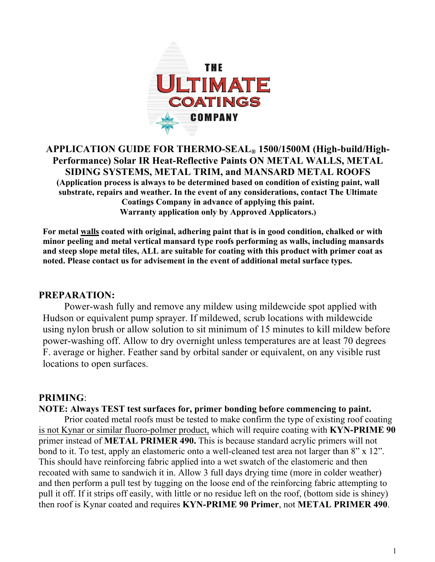

## **APPLICATION GUIDE FOR THERMO-SEAL® 1500/1500M (High-build/High-Performance) Solar IR Heat-Reflective Paints ON METAL WALLS, METAL SIDING SYSTEMS, METAL TRIM, and MANSARD METAL ROOFS (Application process is always to be determined based on condition of existing paint, wall substrate, repairs and weather. In the event of any considerations, contact The Ultimate Coatings Company in advance of applying this paint. Warranty application only by Approved Applicators.)**

**For metal walls coated with original, adhering paint that is in good condition, chalked or with minor peeling and metal vertical mansard type roofs performing as walls, including mansards and steep slope metal tiles, ALL are suitable for coating with this product with primer coat as noted. Please contact us for advisement in the event of additional metal surface types.**

### **PREPARATION:**

Power-wash fully and remove any mildew using mildewcide spot applied with Hudson or equivalent pump sprayer. If mildewed, scrub locations with mildewcide using nylon brush or allow solution to sit minimum of 15 minutes to kill mildew before power-washing off. Allow to dry overnight unless temperatures are at least 70 degrees F. average or higher. Feather sand by orbital sander or equivalent, on any visible rust locations to open surfaces.

#### **PRIMING**:

#### **NOTE: Always TEST test surfaces for, primer bonding before commencing to paint.**

Prior coated metal roofs must be tested to make confirm the type of existing roof coating is not Kynar or similar fluoro-polmer product, which will require coating with **KYN-PRIME 90** primer instead of **METAL PRIMER 490.** This is because standard acrylic primers will not bond to it. To test, apply an elastomeric onto a well-cleaned test area not larger than 8" x 12". This should have reinforcing fabric applied into a wet swatch of the elastomeric and then recoated with same to sandwich it in. Allow 3 full days drying time (more in colder weather) and then perform a pull test by tugging on the loose end of the reinforcing fabric attempting to pull it off. If it strips off easily, with little or no residue left on the roof, (bottom side is shiney) then roof is Kynar coated and requires **KYN-PRIME 90 Primer**, not **METAL PRIMER 490**.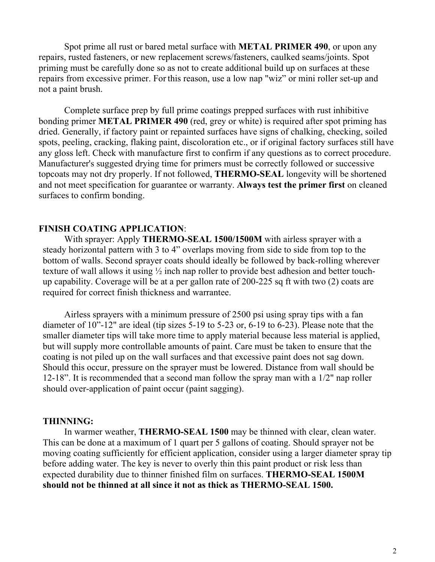Spot prime all rust or bared metal surface with **METAL PRIMER 490**, or upon any repairs, rusted fasteners, or new replacement screws/fasteners, caulked seams/joints. Spot priming must be carefully done so as not to create additional build up on surfaces at these repairs from excessive primer. For this reason, use a low nap "wiz" or mini roller set-up and not a paint brush.

Complete surface prep by full prime coatings prepped surfaces with rust inhibitive bonding primer **METAL PRIMER 490** (red, grey or white) is required after spot priming has dried. Generally, if factory paint or repainted surfaces have signs of chalking, checking, soiled spots, peeling, cracking, flaking paint, discoloration etc., or if original factory surfaces still have any gloss left. Check with manufacture first to confirm if any questions as to correct procedure. Manufacturer's suggested drying time for primers must be correctly followed or successive topcoats may not dry properly. If not followed, **THERMO-SEAL** longevity will be shortened and not meet specification for guarantee or warranty. **Always test the primer first** on cleaned surfaces to confirm bonding.

#### **FINISH COATING APPLICATION**:

With sprayer: Apply **THERMO-SEAL 1500/1500M** with airless sprayer with a steady horizontal pattern with 3 to 4" overlaps moving from side to side from top to the bottom of walls. Second sprayer coats should ideally be followed by back-rolling wherever texture of wall allows it using ½ inch nap roller to provide best adhesion and better touchup capability. Coverage will be at a per gallon rate of 200-225 sq ft with two (2) coats are required for correct finish thickness and warrantee.

Airless sprayers with a minimum pressure of 2500 psi using spray tips with a fan diameter of 10"-12" are ideal (tip sizes 5-19 to 5-23 or, 6-19 to 6-23). Please note that the smaller diameter tips will take more time to apply material because less material is applied, but will supply more controllable amounts of paint. Care must be taken to ensure that the coating is not piled up on the wall surfaces and that excessive paint does not sag down. Should this occur, pressure on the sprayer must be lowered. Distance from wall should be 12-18". It is recommended that a second man follow the spray man with a 1/2" nap roller should over-application of paint occur (paint sagging).

#### **THINNING:**

In warmer weather, **THERMO-SEAL 1500** may be thinned with clear, clean water. This can be done at a maximum of 1 quart per 5 gallons of coating. Should sprayer not be moving coating sufficiently for efficient application, consider using a larger diameter spray tip before adding water. The key is never to overly thin this paint product or risk less than expected durability due to thinner finished film on surfaces. **THERMO-SEAL 1500M should not be thinned at all since it not as thick as THERMO-SEAL 1500.**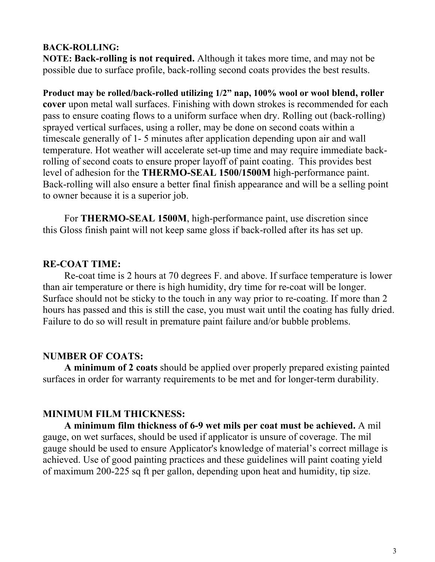### **BACK-ROLLING:**

**NOTE: Back-rolling is not required.** Although it takes more time, and may not be possible due to surface profile, back-rolling second coats provides the best results.

**Product may be rolled/back-rolled utilizing 1/2" nap, 100% wool or wool blend, roller cover** upon metal wall surfaces. Finishing with down strokes is recommended for each pass to ensure coating flows to a uniform surface when dry. Rolling out (back-rolling) sprayed vertical surfaces, using a roller, may be done on second coats within a timescale generally of 1- 5 minutes after application depending upon air and wall temperature. Hot weather will accelerate set-up time and may require immediate backrolling of second coats to ensure proper layoff of paint coating. This provides best level of adhesion for the **THERMO-SEAL 1500/1500M** high-performance paint. Back-rolling will also ensure a better final finish appearance and will be a selling point to owner because it is a superior job.

For **THERMO-SEAL 1500M**, high-performance paint, use discretion since this Gloss finish paint will not keep same gloss if back-rolled after its has set up.

## **RE-COAT TIME:**

Re-coat time is 2 hours at 70 degrees F. and above. If surface temperature is lower than air temperature or there is high humidity, dry time for re-coat will be longer. Surface should not be sticky to the touch in any way prior to re-coating. If more than 2 hours has passed and this is still the case, you must wait until the coating has fully dried. Failure to do so will result in premature paint failure and/or bubble problems.

## **NUMBER OF COATS:**

**A minimum of 2 coats** should be applied over properly prepared existing painted surfaces in order for warranty requirements to be met and for longer-term durability.

## **MINIMUM FILM THICKNESS:**

**A minimum film thickness of 6-9 wet mils per coat must be achieved.** A mil gauge, on wet surfaces, should be used if applicator is unsure of coverage. The mil gauge should be used to ensure Applicator's knowledge of material's correct millage is achieved. Use of good painting practices and these guidelines will paint coating yield of maximum 200-225 sq ft per gallon, depending upon heat and humidity, tip size.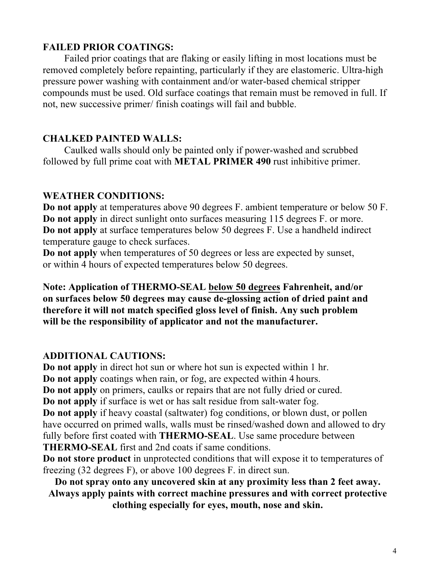## **FAILED PRIOR COATINGS:**

Failed prior coatings that are flaking or easily lifting in most locations must be removed completely before repainting, particularly if they are elastomeric. Ultra-high pressure power washing with containment and/or water-based chemical stripper compounds must be used. Old surface coatings that remain must be removed in full. If not, new successive primer/ finish coatings will fail and bubble.

# **CHALKED PAINTED WALLS:**

Caulked walls should only be painted only if power-washed and scrubbed followed by full prime coat with **METAL PRIMER 490** rust inhibitive primer.

# **WEATHER CONDITIONS:**

**Do not apply** at temperatures above 90 degrees F. ambient temperature or below 50 F. **Do not apply** in direct sunlight onto surfaces measuring 115 degrees F. or more. **Do not apply** at surface temperatures below 50 degrees F. Use a handheld indirect temperature gauge to check surfaces.

**Do not apply** when temperatures of 50 degrees or less are expected by sunset, or within 4 hours of expected temperatures below 50 degrees.

**Note: Application of THERMO-SEAL below 50 degrees Fahrenheit, and/or on surfaces below 50 degrees may cause de-glossing action of dried paint and therefore it will not match specified gloss level of finish. Any such problem will be the responsibility of applicator and not the manufacturer.** 

# **ADDITIONAL CAUTIONS:**

**Do not apply** in direct hot sun or where hot sun is expected within 1 hr. **Do not apply** coatings when rain, or fog, are expected within 4 hours. **Do not apply** on primers, caulks or repairs that are not fully dried or cured. **Do not apply** if surface is wet or has salt residue from salt-water fog. **Do not apply** if heavy coastal (saltwater) fog conditions, or blown dust, or pollen have occurred on primed walls, walls must be rinsed/washed down and allowed to dry fully before first coated with **THERMO-SEAL**. Use same procedure between **THERMO-SEAL** first and 2nd coats if same conditions.

**Do not store product** in unprotected conditions that will expose it to temperatures of freezing (32 degrees F), or above 100 degrees F. in direct sun.

**Do not spray onto any uncovered skin at any proximity less than 2 feet away. Always apply paints with correct machine pressures and with correct protective clothing especially for eyes, mouth, nose and skin.**